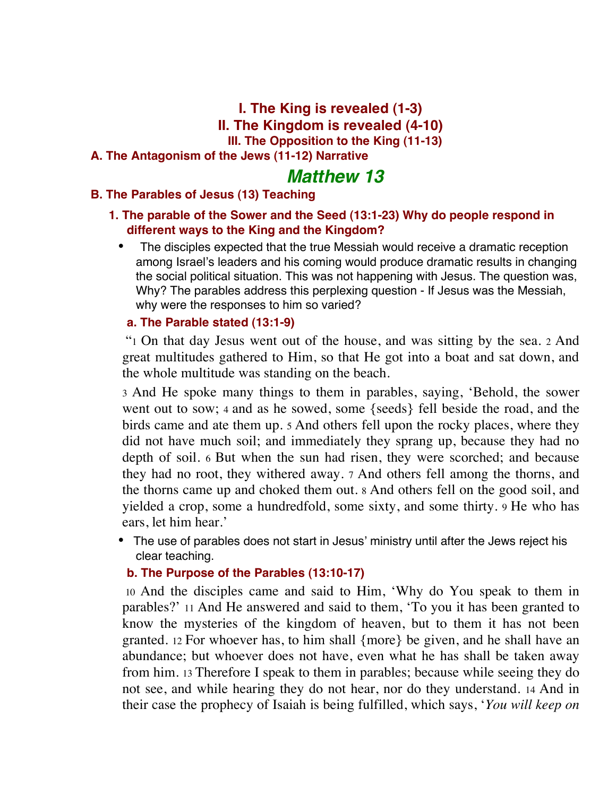**I. The King is revealed (1-3) II. The Kingdom is revealed (4-10) III. The Opposition to the King (11-13)**

#### **A. The Antagonism of the Jews (11-12) Narrative**

# *Matthew 13*

### **B. The Parables of Jesus (13) Teaching**

### **1. The parable of the Sower and the Seed (13:1-23) Why do people respond in different ways to the King and the Kingdom?**

• The disciples expected that the true Messiah would receive a dramatic reception among Israel's leaders and his coming would produce dramatic results in changing the social political situation. This was not happening with Jesus. The question was, Why? The parables address this perplexing question - If Jesus was the Messiah, why were the responses to him so varied?

#### **a. The Parable stated (13:1-9)**

 "1 On that day Jesus went out of the house, and was sitting by the sea. 2 And great multitudes gathered to Him, so that He got into a boat and sat down, and the whole multitude was standing on the beach.

3 And He spoke many things to them in parables, saying, 'Behold, the sower went out to sow; 4 and as he sowed, some {seeds} fell beside the road, and the birds came and ate them up. 5 And others fell upon the rocky places, where they did not have much soil; and immediately they sprang up, because they had no depth of soil. 6 But when the sun had risen, they were scorched; and because they had no root, they withered away. 7 And others fell among the thorns, and the thorns came up and choked them out. 8 And others fell on the good soil, and yielded a crop, some a hundredfold, some sixty, and some thirty. 9 He who has ears, let him hear.'

• The use of parables does not start in Jesus' ministry until after the Jews reject his clear teaching.

#### **b. The Purpose of the Parables (13:10-17)**

 10 And the disciples came and said to Him, 'Why do You speak to them in parables?' 11 And He answered and said to them, 'To you it has been granted to know the mysteries of the kingdom of heaven, but to them it has not been granted. 12 For whoever has, to him shall {more} be given, and he shall have an abundance; but whoever does not have, even what he has shall be taken away from him. 13 Therefore I speak to them in parables; because while seeing they do not see, and while hearing they do not hear, nor do they understand. 14 And in their case the prophecy of Isaiah is being fulfilled, which says, '*You will keep on*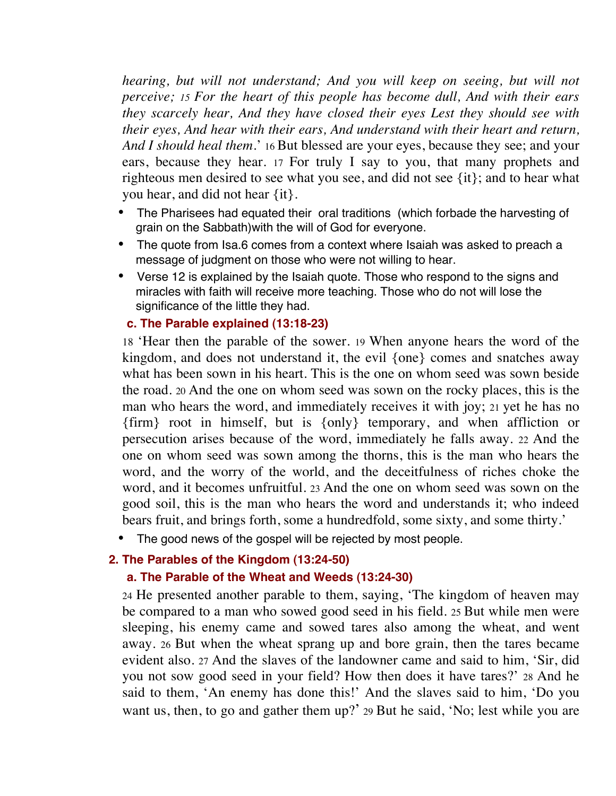*hearing, but will not understand; And you will keep on seeing, but will not perceive; 15 For the heart of this people has become dull, And with their ears they scarcely hear, And they have closed their eyes Lest they should see with their eyes, And hear with their ears, And understand with their heart and return, And I should heal them*.' 16 But blessed are your eyes, because they see; and your ears, because they hear. 17 For truly I say to you, that many prophets and righteous men desired to see what you see, and did not see {it}; and to hear what you hear, and did not hear {it}.

- The Pharisees had equated their oral traditions (which forbade the harvesting of grain on the Sabbath)with the will of God for everyone.
- The quote from Isa.6 comes from a context where Isaiah was asked to preach a message of judgment on those who were not willing to hear.
- Verse 12 is explained by the Isaiah quote. Those who respond to the signs and miracles with faith will receive more teaching. Those who do not will lose the significance of the little they had.

#### **c. The Parable explained (13:18-23)**

18 'Hear then the parable of the sower. 19 When anyone hears the word of the kingdom, and does not understand it, the evil {one} comes and snatches away what has been sown in his heart. This is the one on whom seed was sown beside the road. 20 And the one on whom seed was sown on the rocky places, this is the man who hears the word, and immediately receives it with joy; 21 yet he has no {firm} root in himself, but is {only} temporary, and when affliction or persecution arises because of the word, immediately he falls away. 22 And the one on whom seed was sown among the thorns, this is the man who hears the word, and the worry of the world, and the deceitfulness of riches choke the word, and it becomes unfruitful. 23 And the one on whom seed was sown on the good soil, this is the man who hears the word and understands it; who indeed bears fruit, and brings forth, some a hundredfold, some sixty, and some thirty.'

• The good news of the gospel will be rejected by most people.

### **2. The Parables of the Kingdom (13:24-50)**

#### **a. The Parable of the Wheat and Weeds (13:24-30)**

24 He presented another parable to them, saying, 'The kingdom of heaven may be compared to a man who sowed good seed in his field. 25 But while men were sleeping, his enemy came and sowed tares also among the wheat, and went away. 26 But when the wheat sprang up and bore grain, then the tares became evident also. 27 And the slaves of the landowner came and said to him, 'Sir, did you not sow good seed in your field? How then does it have tares?' 28 And he said to them, 'An enemy has done this!' And the slaves said to him, 'Do you want us, then, to go and gather them up?' 29 But he said, 'No; lest while you are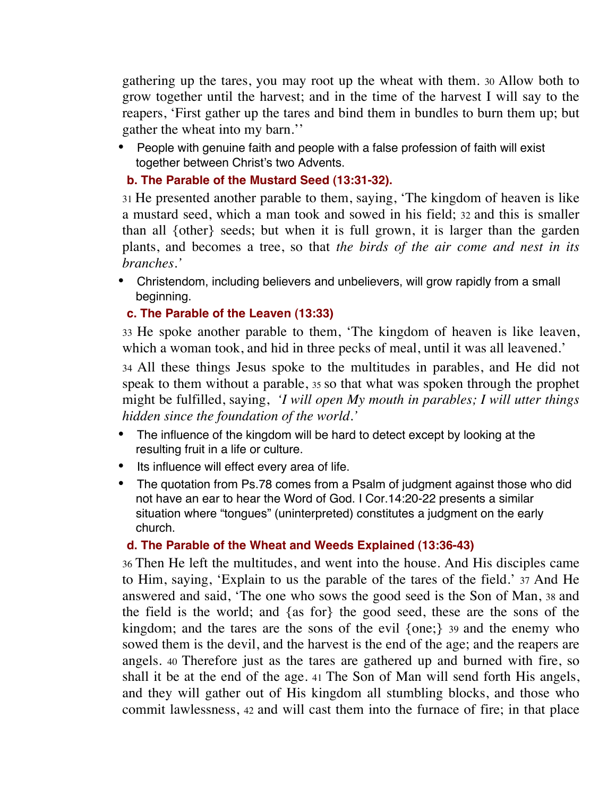gathering up the tares, you may root up the wheat with them. 30 Allow both to grow together until the harvest; and in the time of the harvest I will say to the reapers, 'First gather up the tares and bind them in bundles to burn them up; but gather the wheat into my barn.''

• People with genuine faith and people with a false profession of faith will exist together between Christ's two Advents.

### **b. The Parable of the Mustard Seed (13:31-32).**

31 He presented another parable to them, saying, 'The kingdom of heaven is like a mustard seed, which a man took and sowed in his field; 32 and this is smaller than all {other} seeds; but when it is full grown, it is larger than the garden plants, and becomes a tree, so that *the birds of the air come and nest in its branches.'*

• Christendom, including believers and unbelievers, will grow rapidly from a small beginning.

### **c. The Parable of the Leaven (13:33)**

33 He spoke another parable to them, 'The kingdom of heaven is like leaven, which a woman took, and hid in three pecks of meal, until it was all leavened.'

34 All these things Jesus spoke to the multitudes in parables, and He did not speak to them without a parable, 35 so that what was spoken through the prophet might be fulfilled, saying, *'I will open My mouth in parables; I will utter things hidden since the foundation of the world.'*

- The influence of the kingdom will be hard to detect except by looking at the resulting fruit in a life or culture.
- Its influence will effect every area of life.
- The quotation from Ps.78 comes from a Psalm of judgment against those who did not have an ear to hear the Word of God. I Cor.14:20-22 presents a similar situation where "tongues" (uninterpreted) constitutes a judgment on the early church.

### **d. The Parable of the Wheat and Weeds Explained (13:36-43)**

36 Then He left the multitudes, and went into the house. And His disciples came to Him, saying, 'Explain to us the parable of the tares of the field.' 37 And He answered and said, 'The one who sows the good seed is the Son of Man, 38 and the field is the world; and {as for} the good seed, these are the sons of the kingdom; and the tares are the sons of the evil {one;} 39 and the enemy who sowed them is the devil, and the harvest is the end of the age; and the reapers are angels. 40 Therefore just as the tares are gathered up and burned with fire, so shall it be at the end of the age. 41 The Son of Man will send forth His angels, and they will gather out of His kingdom all stumbling blocks, and those who commit lawlessness, 42 and will cast them into the furnace of fire; in that place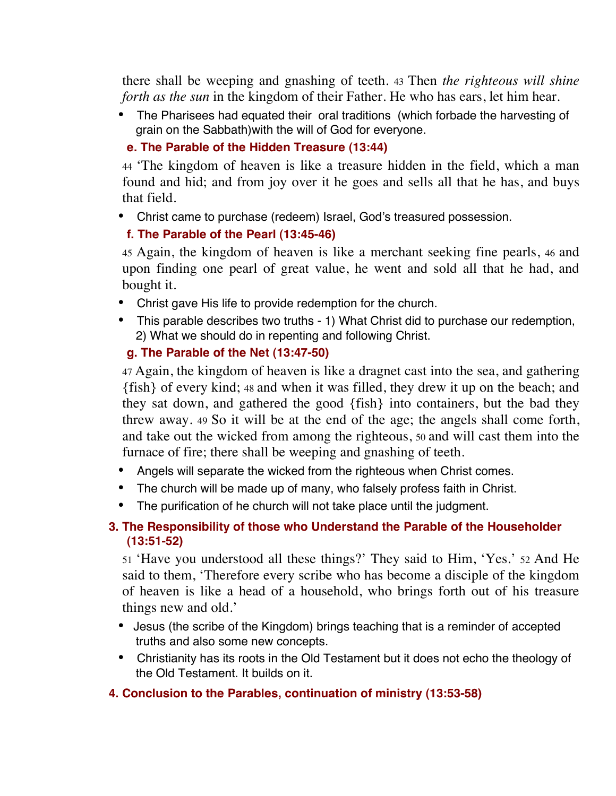there shall be weeping and gnashing of teeth. 43 Then *the righteous will shine forth as the sun* in the kingdom of their Father. He who has ears, let him hear.

• The Pharisees had equated their oral traditions (which forbade the harvesting of grain on the Sabbath)with the will of God for everyone.

### **e. The Parable of the Hidden Treasure (13:44)**

44 'The kingdom of heaven is like a treasure hidden in the field, which a man found and hid; and from joy over it he goes and sells all that he has, and buys that field.

• Christ came to purchase (redeem) Israel, God's treasured possession.

### **f. The Parable of the Pearl (13:45-46)**

45 Again, the kingdom of heaven is like a merchant seeking fine pearls, 46 and upon finding one pearl of great value, he went and sold all that he had, and bought it.

- Christ gave His life to provide redemption for the church.
- This parable describes two truths 1) What Christ did to purchase our redemption, 2) What we should do in repenting and following Christ.

# **g. The Parable of the Net (13:47-50)**

47 Again, the kingdom of heaven is like a dragnet cast into the sea, and gathering {fish} of every kind; 48 and when it was filled, they drew it up on the beach; and they sat down, and gathered the good {fish} into containers, but the bad they threw away. 49 So it will be at the end of the age; the angels shall come forth, and take out the wicked from among the righteous, 50 and will cast them into the furnace of fire; there shall be weeping and gnashing of teeth.

- Angels will separate the wicked from the righteous when Christ comes.
- The church will be made up of many, who falsely profess faith in Christ.
- The purification of he church will not take place until the judgment.

# **3. The Responsibility of those who Understand the Parable of the Householder (13:51-52)**

51 'Have you understood all these things?' They said to Him, 'Yes.' 52 And He said to them, 'Therefore every scribe who has become a disciple of the kingdom of heaven is like a head of a household, who brings forth out of his treasure things new and old.'

- Jesus (the scribe of the Kingdom) brings teaching that is a reminder of accepted truths and also some new concepts.
- Christianity has its roots in the Old Testament but it does not echo the theology of the Old Testament. It builds on it.

# **4. Conclusion to the Parables, continuation of ministry (13:53-58)**